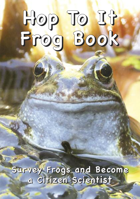# **Hop To It Frog Book**

**Sur vey Frogs and Become a Citizen Scientist**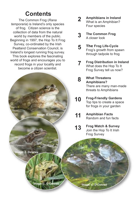## **Contents**

The Common Frog (*Rana temporaria*) is Ireland's only species of frog. Citizen science is the collection of data from the natural world by members of the public. Beginning in 1997, the Hop To It Frog Survey, co-ordinated by the Irish Peatland Conservation Council, is Ireland's longest running frog survey. This book explores the fascinating world of frogs and encourages you to record frogs in your locality and become a citizen scientist.



- **Amphibians in Ireland** What is an Amphibian? Four species **2**
- **The Common Frog** A closer look **3**
- **The Frog Life-Cycle** Frog's growth from spawn through tadpole to frog **5**
- **Frog Distribution in Ireland** What does the Hop To It Frog Survey tell us now? **7**
- **What Threatens Amphibians?** There are many man-made threats to Amphibians **8**
- **Frog-Friendly Gardens** Top tips to create a space for frogs in your garden **10**

#### **Amphibian Facts** Random and fun facts **11**

**Frog Watch & Survey** Join the Hop To It Irish Frog Survey **13**

**Image: E. Delaney**

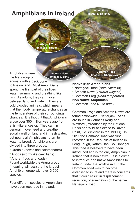## **Amphibians in Ireland**

**Common Frog Image: E. Delaney**

**Natterjack Toad Image: B. Dupont**

> **Smooth Newt Image: J. Early**

animals with a back bone to live on land. Most Amphibians spend the first part of their lives in water, swimming and breathing like fish. As adults, they can move between land and water. They are cold blooded animals, which means that their body temperature changes as the temperature of their surroundings changes. It is thought that Amphibians arose over 350 million years ago from a fish-like ancestor. They can, in general, move, feed and breathe equally well on land and in fresh water, but nearly all Amphibians return to water to breed. Amphibians are divided into three groups:

- \* Urodela (newts and salamanders)
- **\*** Apoda (worm-like caecilians)
- **\*** Anura (frogs and toads).

Amphibians were the first group of

Found worldwide the Anura group (meaning tail-less) are the largest Amphibian group with over 3,500 species.

Four different species of Amphibian have been recorded in Ireland:

**Common Toad Image: G. Chernilevsky**

#### **Native Irish Amphibians**

- **\*** Natterjack Toad (*Bufo calamita*)
- **\*** Smooth Newt (*Triturus vulgaris*)
- **\*** Common Frog (*Rana temporaria*)

#### **Non Native Amphibian**

**\*** Common Toad (*Bufo bufo*)

Common Frogs and Smooth Newts are found nationwide. Natterjack Toads are found in Counties Kerry and Wexford (introduced by the National Parks and Wildlife Service to Raven Point, Co. Wexford in the 1990's). In 2011 the Common Toad was first recorded in the Republic of Ireland in Long Lough, Rathmullan, Co. Donegal. This toad is believed to have been introduced and is the only Amphibian in Ireland that is non native. It is a crime to introduce non native Amphibians to Ireland under the Wildlife Act. If the Common Toad was to become established in Ireland there is concerns that it could result in displacement, reduction, or elimination of the native Natterjack Toad.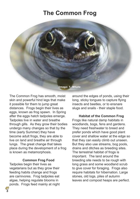## **The Common Frog**



The Common Frog has smooth, moist skin and powerful hind legs that make it possible for them to jump great distances. Frogs begin their lives as eggs, known as frog spawn. In Spring after the eggs hatch tadpoles emerge. Tadpoles live in water and breathe through gills. As they grow their bodies undergo many changes so that by the time (early Summer) they have become adult frogs, they are able to live on land and breathe air through lungs. The great change that takes place during the development of a frog is known as metamorphosis.

#### **Common Frog Food**

Tadpoles begin their lives as vegetarians but as they grow their feeding habits change and frogs are carnivores. Frog tadpoles eat algae, helping regulate blooms in ponds. Frogs feed mainly at night around the edges of ponds, using their long, sticky tongues to capture flying insects and beetles, or to ensnare slugs and snails - their staple food.

**Habitat of the Common Frog** Frogs like natural damp habitats in woodlands, bogs, fens and gardens. They need freshwater to breed and prefer ponds which have good plant cover and shallow water at the edge so that they can easily climb out unseen. But they also use streams, bog pools, drains and ditches as breeding sites. The terrestrial habitat of frogs is important. The land around the breeding site needs to be rough with long grass and some woodland scrub to give cover for foraging. Frogs also require habitats for hibernation. Large stones, old logs, piles of autumn leaves and compost heaps are perfect.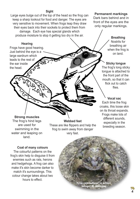#### **Sight**

Large eyes bulge out of the top of the head so the frog can keep a sharp lookout for food and danger. The eyes are very sensitive to movement. When frogs leap they draw their eyes back into their sockets to protect them from damage. Each eye has special glands which produce moisture to stop it getting too dry in the air.

#### **Hearing**

Frogs have good hearing. Just behind the eye is a large eardrum which leads to the rest of the ear inside the head.

#### **Permanent markings**

Dark bars behind and in front of the eyes are the only regular markings.

#### **Breathing**

Nostrils for breathing air when the frog is on land.

#### **Sticky tongue**

The frog's long sticky tongue is attached to the front part of the mouth, so that it can flick out to catch flies.

### **Vocal sac**

Each time the frog croaks, this loose skin on its throat expands. Frogs make lots of different sounds, especially in the breeding season*.*

**Strong muscles** The frog's hind legs are used for swimming in the water and leaping on land.

These are like flippers and help the frog to swim away from danger very fast.

#### **Coat of many colours**

The colourful patterns on the frog's skin help to disguise it from enemies such as rats, herons and hedgehogs. A frog can also make it's skin become darker to match it's surroundings. This colour change takes about two hours to effect.

**Webbed feet**

**Image: N. Madigan Frog camouflage in action**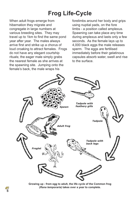## **Frog Life-Cycle**

When adult frogs emerge from hibernation they migrate and congregate in large numbers at various breeding sites. They may travel up to 1km to find the same pond year after year. The males always arrive first and strike up a chorus of loud croaking to attract females. Frogs do not have any elegant courtship rituals; the eager male simply grabs the nearest female as she arrives at the spawning site. Jumping onto the female's back, the male wraps his

forelimbs around her body and grips using nuptial pads, on the fore limbs - a position called amplexus. Spawning can take place any time during amplexus and lasts only a few seconds. As the female lays up to 4,000 black eggs the male releases sperm. The eggs are fertilised immediately before their gelatinous capsules absorb water, swell and rise to the surface.



**Growing up - from egg to adult, the life cycle of the Common frog (***Rana temporaria***) takes over a year to complete.**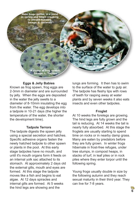**Male frogs gather in a pond in spring and begin croaking to attract females. Image: E. Delaney**

> **A clump of frog spawn. Image: L. Tisjima**

#### **Eggs & Jelly Babies**

Known as frog spawn, frog eggs are 2-3mm in diameter and are surrounded by jelly. When the eggs are deposited in the water the jelly swells to a diameter of 8-10mm insulating the egg from the water. The egg develops into a tadpole in 10-21 days (the higher the temperature of the water, the shorter the development time).

#### **Tadpole Terrors**

The tadpole digests the spawn jelly using a special secretion and hatches. Specific adhesive organs fasten the newly hatched tadpole to other spawn or plants in the pool. At this early stage tadpoles have no mouth, and until it's mouth organs form it feeds on an internal yolk sac attached to its stomach. At approximately 2 days old the external gills, mouth and eyes are formed. At this stage the tadpole moves like a fish and begins to eat algae. At 12 days spiracles and internal gills are formed. At 5 weeks the hind legs are showing and the

lungs are forming. It then has to swim to the surface of the water to gulp air. The tadpole has fleshy lips with rows of teeth for rasping away at water plants and by seven weeks it also eats insects and even other tadpoles.

**Adult frog with spawn. Image: A. Murphy**

#### **Froglet**

At 10 weeks the forelegs are growing. The hind legs are fully grown and the tail is reducing. At 14 weeks the tail is nearly fully absorbed. At this stage the froglets are usually starting to spend time on rocks or in nearby damp grass. Many are eaten by predators before they are fully grown. In winter frogs hibernate in frost-free refuges, under tree stumps, in compost heaps, in stacks of turf, in leaf piles or in rock piles where they enter torpor until the following spring.

Young frogs usually double in size by the following autumn and they reach sexual maturity in their third year. They can live for 7-8 years.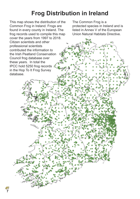## **Frog Distribution in Ireland**

This map shows the distribution of the Common Frog in Ireland. Frogs are found in every county in Ireland. The frog records used to compile this map cover the years from 1997 to 2018. Citizen scientists and other professional scientists contributed the information to the Irish Peatland Conservation Council frog database over these years. In total the IPCC hold 5250 frog records in the Hop To It Frog Survey database.

**7**

The Common Frog is a protected species in Ireland and is listed in Annex V of the European Union Natural Habitats Directive.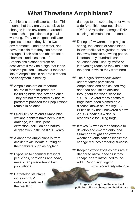## **What Threatens Amphibians?**

Amphibians are indicator species. This means that they are very sensitive to changes in the environment around them such as pollution and global warming. They make good indicator species because they live in two environments - land and water, and have thin skin that they can breathe through. Their skin can absorb toxic chemicals and diseases. If Amphibians disappear from an ecosystem it may be a sign that it has become polluted. Likewise, if their are lots of Amphibians in an area it means the ecosystem is healthy.

- Amphibians are an important source of food for predators including birds, fish, fox and otter. They are not threatened by natural predators provided their populations remain in balance.
- Over 50% of Ireland's Amphibian wetland habitats have been lost to drainage, industrial peat extraction, pollution and natural degradation in the past 100 years.
- A danger to Amphibians is from accidental/deliberate burning of their habitats such as bogland.
- **Exposure to chemical fertilisers,** pesticides, herbicides and heavy metals can poison Amphibian populations.
- **Herpetologists blame** increasing UV radiation levels and the resulting

damage to the ozone layer for world wide Amphibian declines since 1989. UV radiation damages DNA causing cell mutations and death.

- **T** During a few warm, damp nights in spring, thousands of Amphibians follow traditional migration routes on their way back to spawning ponds. Unfortunately, hundreds can be squashed and killed by traffic on intervening roads as they make for the pond in which they were born.
- The fungus *Batrachochytrium dendrobatidis* parasitises Amphibians and has caused frog and toad population declines throughout the world since the 1980's. Several mass deaths of frogs have been blamed on a disease known as "red leg". A British study has uncovered a new virus - *Ranavirus* which is responsible for killing frogs.
- $\blacksquare$  It takes 14 weeks for a tadpole to develop and emerge onto land. Summer drought and extreme weather events caused by climate change reduces breeding success.
- $\blacksquare$  Keeping exotic frogs as pets are a danger to native species if they escape or are introduced to the wild. Report sightings to www.biodiversityireland.ie.

**Frogs are dying from the effects of pollution, climate change and habitat loss.**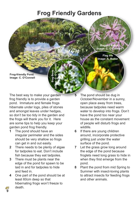## **Frog Friendly Gardens**

**Ragged Robin Image: C. O'Connell**

**Flag Iris Image: A. Butler**

**Frog-friendly Pond. Image: C. O'Connell**

The best way to make your garden frog friendly is to provide a garden pond. Immature and female frogs hibernate under logs, piles of stones and amongst leaves under hedges, so don't be too tidy in the garden and the frogs will thank you for it. Here are some tips to help you keep your garden pond frog friendly.

**Bog Bean Image: C. O'Connell**

- **1** The pond should have an irregular perimeter and the sides should be very shallow so frogs can get in and out easily.
- **2** There needs to be plenty of algae for tadpoles to eat. Don't include fish because they eat tadpoles.
- **3** There must be plants near the edge of the pond for spawn to be laid in and for tadpoles to hide and feed in.
- **4** One part of the pond should be at least 60cm deep so that hibernating frogs won't freeze to death.
- **5** The pond should be dug in October/November in a sunny, open place away from trees, because tadpoles need warm water to develop into frogs. Don't have the pond too near your house as the constant movement of people will disturb frogs and wildlife.
- **6** If there are young children around, incorporate protective grilling just under the water surface of the pond.
- **7** Let the grass grow long around the edge of the pond because froglets need long grass to hide in when they first emerge from the pond.
- **8** Plant the pond from mid Spring to Summer with insect-loving plants to attract insects for feeding frogs and other animals.

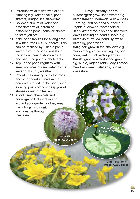- **9** Introduce wildlife two weeks after planting e.g. water snails, pond skaters, dragonflies, flatworms.
- **10** Collect a bucket of water and associated wildlife from an established pond, canal or stream to start you off.
- **11** If the pond freezes for a long time in winter, frogs may suffocate. This can be rectified by using a pan of water to melt the ice - smashing the ice can cause shock waves and harm the pond's inhabitants.
- **12** Top up the pond regularly with small volumes of rain water from a water butt in dry weather.
- **13** Provide hibernating sites for frogs and other pond animals in the garden surrounding the pond such as a log pile, compost heap,pile of stones or autumn leaves.
- **14** Avoid using chemicals and non-organic fertilisers in and around your garden as they may harm frogs who drink and breathe through their skin.

**Water Mint Image: C. O'Connell**

**Lady's S**

**mock Image: N. Madigan**

#### **Frog Friendly Plants**

**Submerged:** grow under water e.g. water starwort, hornwort, willow moss **Floating:** drift on pond surface e.g. frogbit, duckweed, water soldier **Deep Water:** roots on pond floor with leaves floating on pond surface e.g. water violet, yellow pond lily, white water lily, pond weed.

**Marginal:** grow in the shallows e.g. marsh marigold, yellow flag iris, bog bean, water mint, water plantain. **Marsh:** grow in waterlogged ground e.g. bugle, ragged robin, lady's smock, meadow sweet, valeriana, purple loosestrife.

> **Yellow Water Lily Image: C. O'Co**

> > **Marsh Marigold Image: C.O'Connell**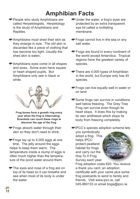## **Amphibian Facts**

- People who study Amphibians are called Herpetologists. Herpetology is the study of Amphibians and Reptiles.
- Amphibians must shed their skin as they enlarge in size. The old skin is discarded like a piece of clothing that has become too tight. Usually the shed skin is eaten.
- Amphibians eyes come in all shapes and sizes. Some even have square or heart shaped pupils. But Amphibians only see in black or white.



**Frog bones form a growth ring every year when the frog is hibernating. Scientists can count these rings to discover the age of the frog.**

- Frogs absorb water through their skin so they don't need to drink.
- Frogs lay up to 4,000 eggs at one time. The jelly around the eggs helps to keep them warm. The temperature inside a clump of eggs is often much higher than the temperature of the pond water around them.
- The eyes and nose of a frog are on top of its head so it can breathe and see when most of its body is under the water.
- Under the water, a frog's eyes are protected by an extra transparent eye lid called a nictitating membrane.
- Frogs cannot live in the sea or any salt water.
- Frogs are found in every continent of the world except Antarctica. Tropical regions have the greatest variety of species.
- There are 4,000 types of Amphibian in the world, but Europe only has 45 species.
- Frogs can live equally well in water or on land.
- Some frogs can survive in conditions well below freezing. The Grey Tree Frog can survive even though its heart stops. It does this by making its own antifreeze which stops its body from freezing completely.
- **IPCC's species adoption scheme lets**

you symbolically adopt a frog. This helps IPCC protect peatland habitat for frogs and carry out the Hop To It Frog Survey each year.



Frog adoption costs €20. You receive a thank you card, an adoption certificate with your name plus some frog postcards to send to family and friends. Visit www.ipcc.ie, call 045-860133 or email bogs@ipcc.ie.

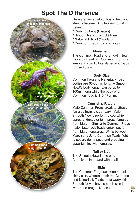## **Spot The Difference**

**Smooth Newt Image: N. Madigan**

**Natterjack Toad Image: M. Mahony**

**Common Frog Image: N. Madigan**

**Common Toad Image: Niall M.** Here are some helpful tips to help you identify between Amphibians found in Ireland:

- **\*** Common Frog (Loscán)
- **\*** Smooth Newt (Earc Sléibhe)
- **\*** Natterjack Toad (Cnádan)
- **\*** Common Toad (Buaf coitianta)

#### **Movement**

The Common Toad and Smooth Newt move by crawling. Common Frogs can jump and crawl while Natterjack Toads run and crawl.

#### **Body Size**

Common Frog and Natterjack Toad bodies are 60-80mm long, A Smooth Newt's body length can be up to 100mm long while the body of a Common Toad is 110-170mm.

#### **Courtship Rituals**

Male Common Frogs croak to attract females from late January. Male Smooth Newts perform a courtship dance underwater to impress females from March. Similar to Common Frogs male Natterjack Toads croak loudly from March onwards. While between March and June Common Toads fight to secure dominance and breeding opportunities with females.

#### **Tail or Not**

The Smooth Newt is the only Amphibian in Ireland with a tail.

#### **Skin**

The Common Frog has smooth, moist shiny skin, whereas both the Common and Natterjack Toads have warty skin. Smooth Newts have smooth skin in water and rough skin on land.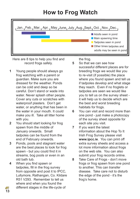## **How to Frog Watch**



Here are 8 tips to help you find and record frogs safely.

- **1** Young people should always go frog watching with a parent or guardian. Make sure you are dressed for the weather. Ponds can be cold and deep so be careful. Don't stand or wade into water. Never splash other people. Cover any cuts or scratches with waterproof plasters. Don't get water, or anything that has been in the water in your mouth. It could make you ill. Take all litter home with you.
- **2** You should start looking for frog spawn from the middle of January onwards. Small tadpoles can be found from the end of February onwards.
- **3** Ponds, pools and stagnant water are the best places to look for frog spawn - but you could find it in streams, bog pools or even in an old bath tub.
- **4** When you find spawn or tadpoles, fill in the frog survey from opposite and post it to IPCC, Lullymore, Rathangan, Co. Kildare R51 V293. Remember to tell us where and when you found the different stages in the life-cycle of

the frog.

- **5** So that we can see how successful different places are for breeding frogs we would like you to re-visit (if possible) the place where you found spawn and tell us if tadpoles develop and what stage they reach. Even if no froglets or tadpoles are seen we would like you to tell us on the survey sheet it will help us to decide which are the best and worst breeding habitats for frogs.
- **6** You can visit and record more than one pond - just make a photocopy of the survey sheet opposite for each site you visit.
- **7** If you want the latest information about the Hop To It Irish Frog Survey please visit **www.ipcc.ie**. You can print off extra survey sheets and access a lot more information about frogs on the web site. You can also submit your frog records online.
- **8** Take Care of Frogs don't move frogs or frog spawn from one pond to another. This can transfer disease. Take care not to disturb the edge of the pond - it's the frog's home.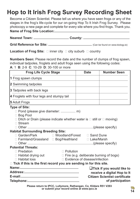## **Hop to It Irish Frog Survey Recording Sheet**

Become a Citizen Scientist. Please tell us where you have seen frogs or any of the stages in the frog's life-cycle for our on-going Hop To It Irish Frog Survey. Please photocopy a new page and complete for every site where you find frogs. Thank you. **Name of Frog Site Location:.................................................................................**

**Nearest Town: ...................................... County: ..................................................**

**Grid Reference for Site: ...............................................** (Can be found on www.biology.ie)

**Location of Frog Site:** ❑ inner city ❑ city suburb ❑ country

**Numbers Seen:** Please record the date and the number of clumps of frog spawn, individual tadpoles, froglets and adult frogs seen using the following codes: **A**: 1 **B**: 2-9 **C**: 10-29 **D**: 30-100 or more

| <b>Frog Life Cycle Stage</b>                                                                                                                                                                                                                                                                                                |                                                                                                           | <b>Date</b> | <b>Number Seen</b>                                                                                                          |
|-----------------------------------------------------------------------------------------------------------------------------------------------------------------------------------------------------------------------------------------------------------------------------------------------------------------------------|-----------------------------------------------------------------------------------------------------------|-------------|-----------------------------------------------------------------------------------------------------------------------------|
| 1 Frog spawn clumps                                                                                                                                                                                                                                                                                                         |                                                                                                           |             |                                                                                                                             |
| 2 Swimming tadpoles                                                                                                                                                                                                                                                                                                         |                                                                                                           |             |                                                                                                                             |
| 3 Tadpoles with back legs                                                                                                                                                                                                                                                                                                   |                                                                                                           |             |                                                                                                                             |
| 4 Froglets with four legs and stumpy tail                                                                                                                                                                                                                                                                                   |                                                                                                           |             |                                                                                                                             |
| 5 Adult Frogs                                                                                                                                                                                                                                                                                                               |                                                                                                           |             |                                                                                                                             |
| <b>Type of Site:</b><br>□ Bog Pool<br>$\Box$ Ditch or Drain (please indicate whether water is $\Box$ still or $\Box$ moving)<br>$\Box$ Stream<br><b>Habitat Surrounding Breeding Site:</b><br>□ Garden/Park □ Woodland/Forest □ Sand Dune<br>□ Farmland/Grassland □ Bog/Heathland □ Lake/Marsh<br><b>Potential Threats:</b> |                                                                                                           |             |                                                                                                                             |
| $\Box$ Predation<br>$\Box$ Habitat drying out<br>$\Box$ Habitat loss                                                                                                                                                                                                                                                        | $\Box$ Pollution<br>$\Box$ Fire (e.g. deliberate burning of bogs)<br>$\Box$ Evidence of disease/infection |             |                                                                                                                             |
| □ Tick if this is the first record you are sending in for this site.                                                                                                                                                                                                                                                        |                                                                                                           |             |                                                                                                                             |
|                                                                                                                                                                                                                                                                                                                             |                                                                                                           |             | $\Box$ Tick if you would like to<br>receive a digital Hop to It<br><b>Citizen Scientist certificate</b><br>of participation |
| Blesse ustrum to IBCC, Lullymous, Bethemann, Co., Kildens BE4 VOOS                                                                                                                                                                                                                                                          |                                                                                                           |             |                                                                                                                             |

**Please return to IPCC, Lullymore, Rathangan, Co. Kildare R51 V293 or submit your record online at www.ipcc.ie**